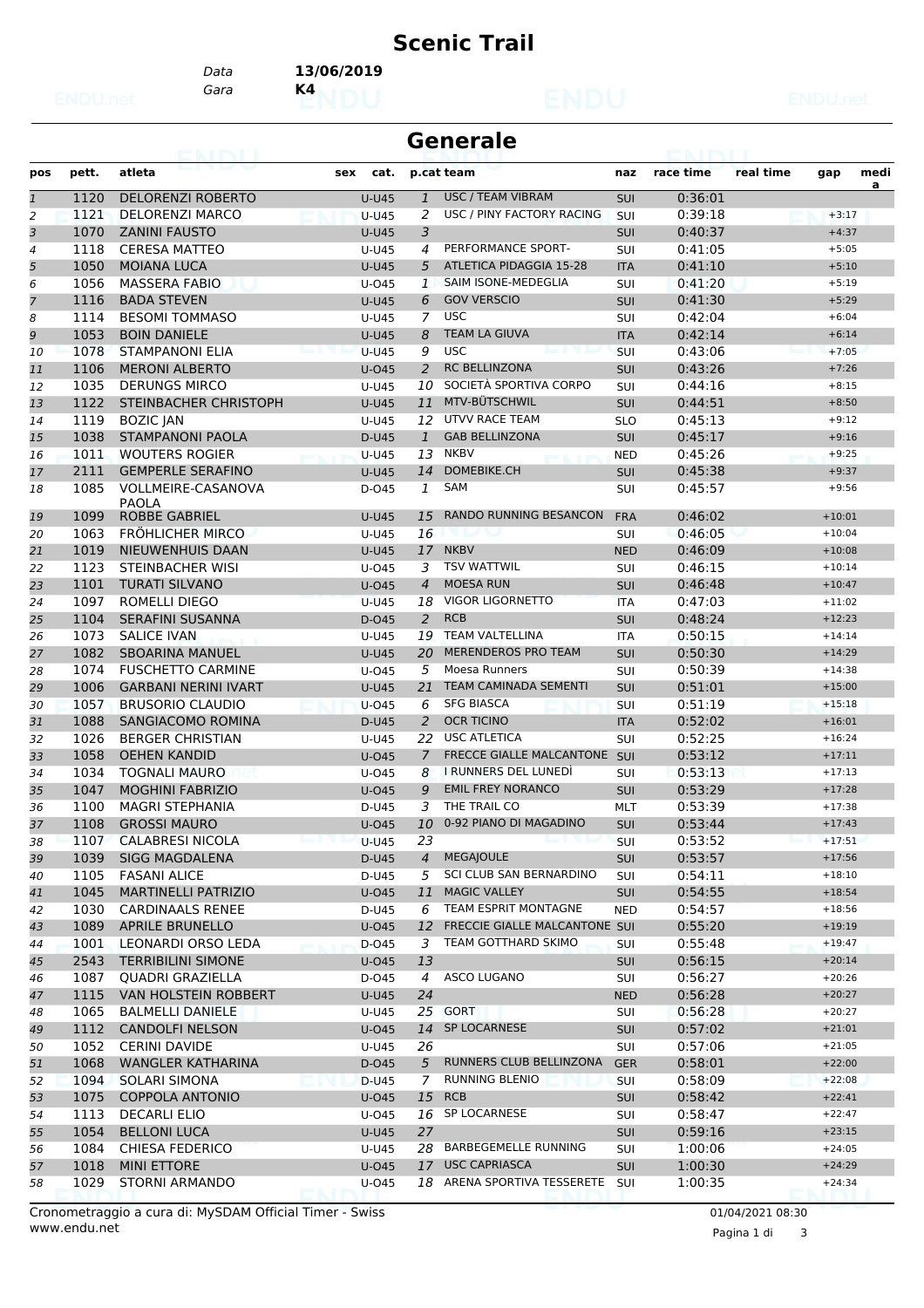### **Scenic Trail**

*Gara* **K4** *Data* **13/06/2019**

# **Generale**

| pos          | pett. | atleta                      | cat.<br>sex  |                | p.cat team                       | naz        | race time | real time | gap      | medi |
|--------------|-------|-----------------------------|--------------|----------------|----------------------------------|------------|-----------|-----------|----------|------|
| $\mathbf{1}$ | 1120  | <b>DELORENZI ROBERTO</b>    | <b>U-U45</b> | $\mathbf{1}$   | <b>USC / TEAM VIBRAM</b>         | SUI        | 0:36:01   |           |          | a    |
| 2            | 1121  | <b>DELORENZI MARCO</b>      | <b>U-U45</b> | 2              | USC / PINY FACTORY RACING        | <b>SUI</b> | 0:39:18   |           | $+3:17$  |      |
| 3            | 1070  | <b>ZANINI FAUSTO</b>        | $U-U45$      | 3              |                                  | <b>SUI</b> | 0:40:37   |           | $+4:37$  |      |
| 4            | 1118  | <b>CERESA MATTEO</b>        | U-U45        | 4              | PERFORMANCE SPORT-               | SUI        | 0:41:05   |           | $+5:05$  |      |
| 5            | 1050  | <b>MOIANA LUCA</b>          | <b>U-U45</b> | 5              | <b>ATLETICA PIDAGGIA 15-28</b>   | <b>ITA</b> | 0:41:10   |           | $+5:10$  |      |
| 6            | 1056  | <b>MASSERA FABIO</b>        | $U$ -045     | $\mathbf{1}$   | SAIM ISONE-MEDEGLIA              | <b>SUI</b> | 0:41:20   |           | $+5:19$  |      |
| 7            | 1116  | <b>BADA STEVEN</b>          | $U-U45$      | 6              | <b>GOV VERSCIO</b>               | <b>SUI</b> | 0:41:30   |           | $+5:29$  |      |
| 8            | 1114  | <b>BESOMI TOMMASO</b>       | U-U45        | 7              | <b>USC</b>                       | SUI        | 0:42:04   |           | $+6:04$  |      |
| 9            | 1053  | <b>BOIN DANIELE</b>         | $U-U45$      | 8              | <b>TEAM LA GIUVA</b>             | <b>ITA</b> | 0:42:14   |           | $+6:14$  |      |
| 10           | 1078  | <b>STAMPANONI ELIA</b>      | <b>U-U45</b> | 9              | <b>USC</b>                       | SUI        | 0:43:06   |           | $+7:05$  |      |
| 11           | 1106  | <b>MERONI ALBERTO</b>       | $U$ -045     | $\overline{a}$ | <b>RC BELLINZONA</b>             | SUI        | 0:43:26   |           | $+7:26$  |      |
| 12           | 1035  | <b>DERUNGS MIRCO</b>        | U-U45        | 10             | SOCIETÀ SPORTIVA CORPO           | <b>SUI</b> | 0:44:16   |           | $+8:15$  |      |
| 13           | 1122  | STEINBACHER CHRISTOPH       | <b>U-U45</b> | 11             | MTV-BÜTSCHWIL                    | <b>SUI</b> | 0:44:51   |           | $+8:50$  |      |
| 14           | 1119  | <b>BOZIC JAN</b>            | U-U45        | 12             | <b>UTVV RACE TEAM</b>            | <b>SLO</b> | 0:45:13   |           | $+9:12$  |      |
| 15           | 1038  | <b>STAMPANONI PAOLA</b>     | D-U45        | $\mathbf{1}$   | <b>GAB BELLINZONA</b>            | <b>SUI</b> | 0:45:17   |           | $+9:16$  |      |
| 16           | 1011  | <b>WOUTERS ROGIER</b>       | $U-U45$      | 13             | <b>NKBV</b>                      | <b>NED</b> | 0:45:26   |           | $+9:25$  |      |
| 17           | 2111  | <b>GEMPERLE SERAFINO</b>    | <b>U-U45</b> | 14             | DOMEBIKE.CH                      | <b>SUI</b> | 0:45:38   |           | $+9:37$  |      |
| 18           | 1085  | VOLLMEIRE-CASANOVA          | D-045        | 1              | SAM                              | <b>SUI</b> | 0:45:57   |           | $+9:56$  |      |
|              |       | <b>PAOLA</b>                |              |                |                                  |            |           |           |          |      |
| 19           | 1099  | <b>ROBBE GABRIEL</b>        | <b>U-U45</b> | 15             | <b>RANDO RUNNING BESANCON</b>    | <b>FRA</b> | 0:46:02   |           | $+10:01$ |      |
| 20           | 1063  | <b>FRÖHLICHER MIRCO</b>     | U-U45        | 16             |                                  | SUI        | 0:46:05   |           | $+10:04$ |      |
| 21           | 1019  | NIEUWENHUIS DAAN            | $U-U45$      | 17             | <b>NKBV</b>                      | <b>NED</b> | 0:46:09   |           | $+10:08$ |      |
| 22           | 1123  | <b>STEINBACHER WISI</b>     | $U$ -045     | 3              | <b>TSV WATTWIL</b>               | SUI        | 0:46:15   |           | $+10:14$ |      |
| 23           | 1101  | <b>TURATI SILVANO</b>       | $U$ -045     | 4              | <b>MOESA RUN</b>                 | <b>SUI</b> | 0:46:48   |           | $+10:47$ |      |
| 24           | 1097  | <b>ROMELLI DIEGO</b>        | <b>U-U45</b> | 18             | VIGOR LIGORNETTO                 | <b>ITA</b> | 0:47:03   |           | $+11:02$ |      |
| 25           | 1104  | <b>SERAFINI SUSANNA</b>     | D-045        | $\overline{2}$ | <b>RCB</b>                       | <b>SUI</b> | 0:48:24   |           | $+12:23$ |      |
| 26           | 1073  | <b>SALICE IVAN</b>          | U-U45        | 19             | <b>TEAM VALTELLINA</b>           | ITA        | 0:50:15   |           | $+14:14$ |      |
| 27           | 1082  | <b>SBOARINA MANUEL</b>      | $U-U45$      | 20             | <b>MERENDEROS PRO TEAM</b>       | SUI        | 0:50:30   |           | $+14:29$ |      |
| 28           | 1074  | <b>FUSCHETTO CARMINE</b>    | $U$ -045     | 5              | Moesa Runners                    | <b>SUI</b> | 0:50:39   |           | $+14:38$ |      |
| 29           | 1006  | <b>GARBANI NERINI IVART</b> | $U-U45$      | 21             | <b>TEAM CAMINADA SEMENTI</b>     | SUI        | 0:51:01   |           | $+15:00$ |      |
| 30           | 1057  | <b>BRUSORIO CLAUDIO</b>     | U-045        | 6              | <b>SFG BIASCA</b>                | <b>SUI</b> | 0:51:19   |           | $+15:18$ |      |
| 31           | 1088  | <b>SANGIACOMO ROMINA</b>    | D-U45        | $\overline{2}$ | <b>OCR TICINO</b>                | <b>ITA</b> | 0:52:02   |           | $+16:01$ |      |
| 32           | 1026  | <b>BERGER CHRISTIAN</b>     | U-U45        | 22             | <b>USC ATLETICA</b>              | SUI        | 0:52:25   |           | $+16:24$ |      |
| 33           | 1058  | <b>OEHEN KANDID</b>         | $U$ -045     | $\overline{7}$ | <b>FRECCE GIALLE MALCANTONE</b>  | SUI        | 0:53:12   |           | $+17:11$ |      |
| 34           | 1034  | <b>TOGNALI MAURO</b>        | $U$ -045     | 8              | I RUNNERS DEL LUNEDI             | SUI        | 0:53:13   |           | $+17:13$ |      |
| 35           | 1047  | <b>MOGHINI FABRIZIO</b>     | $U$ -045     | 9              | <b>EMIL FREY NORANCO</b>         | <b>SUI</b> | 0:53:29   |           | $+17:28$ |      |
| 36           | 1100  | <b>MAGRI STEPHANIA</b>      | D-U45        | 3              | THE TRAIL CO                     | <b>MLT</b> | 0:53:39   |           | $+17:38$ |      |
| 37           | 1108  | <b>GROSSI MAURO</b>         | $U$ -045     | 10             | 0-92 PIANO DI MAGADINO           | <b>SUI</b> | 0:53:44   |           | $+17:43$ |      |
| 38           | 1107  | <b>CALABRESI NICOLA</b>     | $U-U45$      | 23             |                                  | SUI        | 0:53:52   |           | $+17:51$ |      |
| 39           | 1039  | <b>SIGG MAGDALENA</b>       | D-U45        | 4              | <b>MEGAJOULE</b>                 | <b>SUI</b> | 0:53:57   |           | $+17:56$ |      |
| 40           | 1105  | <b>FASANI ALICE</b>         | D-U45        | 5              | SCI CLUB SAN BERNARDINO          | <b>SUI</b> | 0:54:11   |           | $+18:10$ |      |
| 41           | 1045  | <b>MARTINELLI PATRIZIO</b>  | U-045        | 11             | <b>MAGIC VALLEY</b>              | SUI        | 0:54:55   |           | $+18:54$ |      |
| 42           | 1030  | <b>CARDINAALS RENEE</b>     | D-U45        | 6              | <b>TEAM ESPRIT MONTAGNE</b>      | <b>NED</b> | 0:54:57   |           | $+18:56$ |      |
| 43           | 1089  | <b>APRILE BRUNELLO</b>      | U-045        |                | 12 FRECCIE GIALLE MALCANTONE SUI |            | 0:55:20   |           | $+19:19$ |      |
| 44           | 1001  | LEONARDI ORSO LEDA          | D-045        | 3              | TEAM GOTTHARD SKIMO              | <b>SUI</b> | 0:55:48   |           | $+19:47$ |      |
| 45           | 2543  | <b>TERRIBILINI SIMONE</b>   | U-045        | 13             |                                  | <b>SUI</b> | 0:56:15   |           | $+20:14$ |      |
| 46           | 1087  | QUADRI GRAZIELLA            | D-045        | 4              | ASCO LUGANO                      | SUI        | 0:56:27   |           | $+20:26$ |      |
| 47           | 1115  | VAN HOLSTEIN ROBBERT        | U-U45        | 24             |                                  | <b>NED</b> | 0:56:28   |           | $+20:27$ |      |
| 48           | 1065  | <b>BALMELLI DANIELE</b>     | U-U45        |                | 25 GORT                          | SUI        | 0:56:28   |           | $+20:27$ |      |
| 49           | 1112  | <b>CANDOLFI NELSON</b>      | $U$ -045     |                | 14 SP LOCARNESE                  | SUI        | 0:57:02   |           | $+21:01$ |      |
| 50           | 1052  | <b>CERINI DAVIDE</b>        | U-U45        | 26             |                                  | SUI        | 0:57:06   |           | $+21:05$ |      |
| 51           | 1068  | <b>WANGLER KATHARINA</b>    | D-045        | 5              | RUNNERS CLUB BELLINZONA          | <b>GER</b> | 0:58:01   |           | $+22:00$ |      |
| 52           | 1094  | SOLARI SIMONA               | D-U45        | 7              | RUNNING BLENIO                   | <b>SUI</b> | 0:58:09   |           | $+22:08$ |      |
| 53           | 1075  | <b>COPPOLA ANTONIO</b>      | U-045        | 15             | <b>RCB</b>                       | SUI        | 0:58:42   |           | $+22:41$ |      |
| 54           | 1113  | <b>DECARLI ELIO</b>         | U-045        | 16             | SP LOCARNESE                     | SUI        | 0:58:47   |           | $+22:47$ |      |
| 55           | 1054  | <b>BELLONI LUCA</b>         | U-U45        | 27             |                                  | SUI        | 0:59:16   |           | $+23:15$ |      |
| 56           | 1084  | <b>CHIESA FEDERICO</b>      | U-U45        |                | 28 BARBEGEMELLE RUNNING          | <b>SUI</b> | 1:00:06   |           | $+24:05$ |      |
| 57           | 1018  | <b>MINI ETTORE</b>          | U-045        |                | 17 USC CAPRIASCA                 | <b>SUI</b> | 1:00:30   |           | $+24:29$ |      |
| 58           | 1029  | <b>STORNI ARMANDO</b>       | U-045        |                | 18 ARENA SPORTIVA TESSERETE      | SUI        | 1:00:35   |           | $+24:34$ |      |

www.endu.net Cronometraggio a cura di: MySDAM Official Timer - Swiss 01/04/2021 08:30

Pagina 1 di 3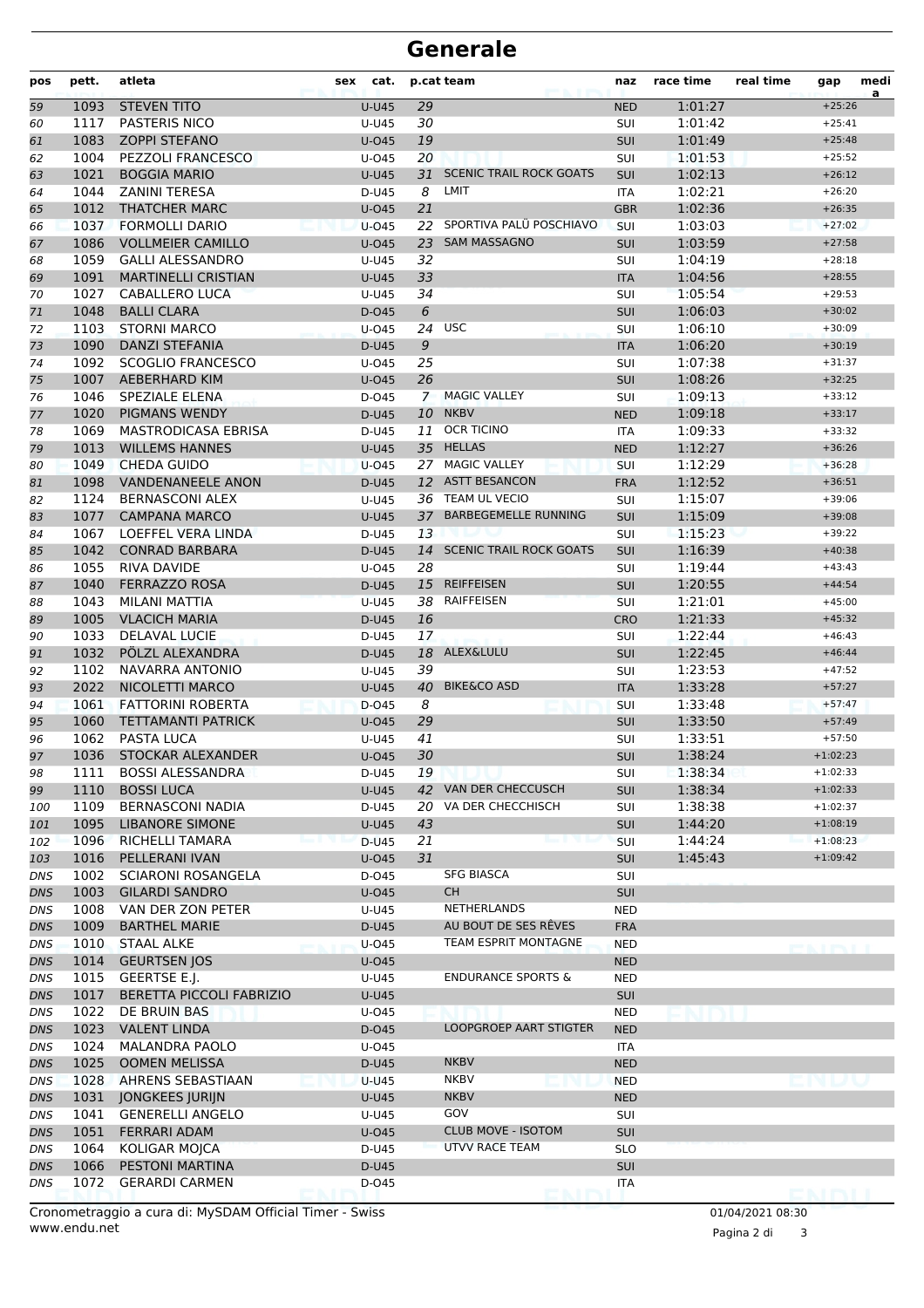#### **Generale**

| pos               | pett.        | atleta                                    | cat.<br>sex    |    | p.cat team                     | naz                      | race time          | real time | gap                  | medi<br>a |
|-------------------|--------------|-------------------------------------------|----------------|----|--------------------------------|--------------------------|--------------------|-----------|----------------------|-----------|
| 59                | 1093         | <b>STEVEN TITO</b>                        | <b>U-U45</b>   | 29 |                                | <b>NED</b>               | 1:01:27            |           | $+25:26$             |           |
| 60                | 1117         | PASTERIS NICO                             | U-U45          | 30 |                                | <b>SUI</b>               | 1:01:42            |           | $+25:41$             |           |
| 61                | 1083         | <b>ZOPPI STEFANO</b>                      | $U$ -045       | 19 |                                | <b>SUI</b>               | 1:01:49            |           | $+25:48$             |           |
| 62                | 1004         | <b>PEZZOLI FRANCESCO</b>                  | $U$ -045       | 20 |                                | SUI                      | 1:01:53            |           | $+25:52$             |           |
| 63                | 1021         | <b>BOGGIA MARIO</b>                       | <b>U-U45</b>   | 31 | <b>SCENIC TRAIL ROCK GOATS</b> | <b>SUI</b>               | 1:02:13            |           | $+26:12$             |           |
| 64                | 1044         | <b>ZANINI TERESA</b>                      | D-U45          | 8  | LMIT                           | <b>ITA</b>               | 1:02:21            |           | $+26:20$             |           |
| 65                | 1012         | <b>THATCHER MARC</b>                      | $U$ -045       | 21 |                                | <b>GBR</b>               | 1:02:36            |           | $+26:35$             |           |
| 66                | 1037         | <b>FORMOLLI DARIO</b>                     | $U$ -045       | 22 | SPORTIVA PALÜ POSCHIAVO        | SUI                      | 1:03:03            |           | $+27:02$             |           |
| 67                | 1086         | <b>VOLLMEIER CAMILLO</b>                  | $U$ -045       |    | 23 SAM MASSAGNO                | <b>SUI</b>               | 1:03:59            |           | $+27:58$             |           |
| 68                | 1059         | <b>GALLI ALESSANDRO</b>                   | U-U45          | 32 |                                | SUI                      | 1:04:19            |           | $+28:18$             |           |
| 69                | 1091         | <b>MARTINELLI CRISTIAN</b>                | <b>U-U45</b>   | 33 |                                | <b>ITA</b>               | 1:04:56            |           | $+28:55$             |           |
| 70                | 1027<br>1048 | CABALLERO LUCA<br><b>BALLI CLARA</b>      | U-U45          | 34 |                                | SUI                      | 1:05:54            |           | $+29:53$<br>$+30:02$ |           |
| 71                | 1103         | <b>STORNI MARCO</b>                       | D-045          | 6  | 24 USC                         | <b>SUI</b>               | 1:06:03            |           | $+30:09$             |           |
| 72                | 1090         | <b>DANZI STEFANIA</b>                     | $U$ -045       | 9  |                                | SUI                      | 1:06:10<br>1:06:20 |           | $+30:19$             |           |
| 73<br>74          | 1092         | <b>SCOGLIO FRANCESCO</b>                  | D-U45<br>U-045 | 25 |                                | <b>ITA</b><br>SUI        | 1:07:38            |           | $+31:37$             |           |
| 75                | 1007         | <b>AEBERHARD KIM</b>                      | $U$ -045       | 26 |                                | <b>SUI</b>               | 1:08:26            |           | $+32:25$             |           |
| 76                | 1046         | SPEZIALE ELENA                            | D-045          |    | 7 MAGIC VALLEY                 | SUI                      | 1:09:13            |           | $+33:12$             |           |
| 77                | 1020         | <b>PIGMANS WENDY</b>                      | D-U45          | 10 | <b>NKBV</b>                    | <b>NED</b>               | 1:09:18            |           | $+33:17$             |           |
| 78                | 1069         | <b>MASTRODICASA EBRISA</b>                | D-U45          | 11 | <b>OCR TICINO</b>              | <b>ITA</b>               | 1:09:33            |           | $+33:32$             |           |
| 79                | 1013         | <b>WILLEMS HANNES</b>                     | $U-U45$        |    | 35 HELLAS                      | <b>NED</b>               | 1:12:27            |           | $+36:26$             |           |
| 80                | 1049         | <b>CHEDA GUIDO</b>                        | $U-045$        |    | 27 MAGIC VALLEY                | SUI                      | 1:12:29            |           | $+36:28$             |           |
| 81                | 1098         | <b>VANDENANEELE ANON</b>                  | D-U45          |    | 12 ASTT BESANCON               | <b>FRA</b>               | 1:12:52            |           | $+36:51$             |           |
| 82                | 1124         | <b>BERNASCONI ALEX</b>                    | U-U45          |    | 36 TEAM UL VECIO               | SUI                      | 1:15:07            |           | $+39:06$             |           |
| 83                | 1077         | <b>CAMPANA MARCO</b>                      | <b>U-U45</b>   |    | 37 BARBEGEMELLE RUNNING        | SUI                      | 1:15:09            |           | $+39:08$             |           |
| 84                | 1067         | LOEFFEL VERA LINDA                        | D-U45          | 13 |                                | SUI                      | 1:15:23            |           | $+39:22$             |           |
| 85                | 1042         | <b>CONRAD BARBARA</b>                     | D-U45          |    | 14 SCENIC TRAIL ROCK GOATS     | <b>SUI</b>               | 1:16:39            |           | $+40:38$             |           |
| 86                | 1055         | <b>RIVA DAVIDE</b>                        | $U$ -045       | 28 |                                | SUI                      | 1:19:44            |           | $+43:43$             |           |
| 87                | 1040         | <b>FERRAZZO ROSA</b>                      | D-U45          |    | 15 REIFFEISEN                  | <b>SUI</b>               | 1:20:55            |           | $+44:54$             |           |
| 88                | 1043         | MILANI MATTIA                             | $U-U45$        |    | 38 RAIFFEISEN                  | <b>SUI</b>               | 1:21:01            |           | $+45:00$             |           |
| 89                | 1005         | <b>VLACICH MARIA</b>                      | D-U45          | 16 |                                | <b>CRO</b>               | 1:21:33            |           | $+45:32$             |           |
| 90                | 1033         | DELAVAL LUCIE                             | D-U45          | 17 |                                | SUI                      | 1:22:44            |           | $+46:43$             |           |
| 91                | 1032         | PÖLZL ALEXANDRA                           | D-U45          |    | 18 ALEX&LULU                   | <b>SUI</b>               | 1:22:45            |           | $+46:44$             |           |
| 92                | 1102         | <b>NAVARRA ANTONIO</b>                    | U-U45          | 39 |                                | SUI                      | 1:23:53            |           | $+47:52$             |           |
| 93                | 2022         | NICOLETTI MARCO                           | <b>U-U45</b>   | 40 | <b>BIKE&amp;CO ASD</b>         | <b>ITA</b>               | 1:33:28            |           | $+57:27$             |           |
| 94                | 1061         | <b>FATTORINI ROBERTA</b>                  | D-045          | 8  |                                | SUI                      | 1:33:48            |           | $+57:47$             |           |
| 95                | 1060         | <b>TETTAMANTI PATRICK</b>                 | $U$ -045       | 29 |                                | <b>SUI</b>               | 1:33:50            |           | $+57:49$             |           |
| 96                | 1062         | PASTA LUCA                                | U-U45          | 41 |                                | SUI                      | 1:33:51            |           | $+57:50$             |           |
| 97                | 1036         | STOCKAR ALEXANDER                         | $U$ -045       | 30 |                                | <b>SUI</b>               | 1:38:24            |           | $+1:02:23$           |           |
| 98                | 1111         | <b>BOSSI ALESSANDRA</b>                   | D-U45          | 19 |                                | <b>SUI</b>               | 1:38:34            |           | $+1:02:33$           |           |
| 99                | 1110         | <b>BOSSI LUCA</b>                         | U-U45          |    | 42 VAN DER CHECCUSCH           | SUI                      | 1:38:34            |           | $+1:02:33$           |           |
| 100               | 1109         | BERNASCONI NADIA                          | D-U45          | 20 | VA DER CHECCHISCH              | SUI                      | 1:38:38            |           | $+1:02:37$           |           |
| 101               | 1095         | <b>LIBANORE SIMONE</b>                    | U-U45          | 43 |                                | SUI                      | 1:44:20            |           | $+1:08:19$           |           |
| 102               | 1096         | RICHELLI TAMARA                           | D-U45          | 21 |                                | <b>SUI</b>               | 1:44:24            |           | $+1:08:23$           |           |
| 103               | 1016         | PELLERANI IVAN                            | U-045          | 31 | <b>SFG BIASCA</b>              | SUI                      | 1:45:43            |           | $+1:09:42$           |           |
| DNS               | 1002         | <b>SCIARONI ROSANGELA</b>                 | D-045          |    | CH                             | SUI                      |                    |           |                      |           |
| <b>DNS</b>        | 1003<br>1008 | <b>GILARDI SANDRO</b>                     | $U$ -045       |    | NETHERLANDS                    | SUI                      |                    |           |                      |           |
| DNS<br><b>DNS</b> | 1009         | VAN DER ZON PETER<br><b>BARTHEL MARIE</b> | U-U45<br>D-U45 |    | AU BOUT DE SES REVES           | <b>NED</b><br><b>FRA</b> |                    |           |                      |           |
| DNS               | 1010         | STAAL ALKE                                | U-045          |    | TEAM ESPRIT MONTAGNE           | <b>NED</b>               |                    |           |                      |           |
| DNS               | 1014         | <b>GEURTSEN JOS</b>                       | $U$ -045       |    |                                | <b>NED</b>               |                    |           |                      |           |
| DNS               | 1015         | GEERTSE E.J.                              | U-U45          |    | <b>ENDURANCE SPORTS &amp;</b>  | <b>NED</b>               |                    |           |                      |           |
| DNS               | 1017         | <b>BERETTA PICCOLI FABRIZIO</b>           | U-U45          |    |                                | <b>SUI</b>               |                    |           |                      |           |
| <b>DNS</b>        | 1022         | DE BRUIN BAS                              | U-045          |    |                                | <b>NED</b>               |                    |           |                      |           |
| <b>DNS</b>        | 1023         | <b>VALENT LINDA</b>                       | D-045          |    | LOOPGROEP AART STIGTER         | <b>NED</b>               |                    |           |                      |           |
| DNS               | 1024         | <b>MALANDRA PAOLO</b>                     | U-045          |    |                                | ITA                      |                    |           |                      |           |
| DNS               | 1025         | <b>OOMEN MELISSA</b>                      | D-U45          |    | <b>NKBV</b>                    | <b>NED</b>               |                    |           |                      |           |
| DNS               | 1028         | AHRENS SEBASTIAAN                         | <b>U-U45</b>   |    | <b>NKBV</b>                    | <b>NED</b>               |                    |           |                      |           |
| DNS               | 1031         | <b>JONGKEES JURIJN</b>                    | U-U45          |    | <b>NKBV</b>                    | <b>NED</b>               |                    |           |                      |           |
| <b>DNS</b>        | 1041         | <b>GENERELLI ANGELO</b>                   | U-U45          |    | GOV                            | SUI                      |                    |           |                      |           |
| <b>DNS</b>        | 1051         | <b>FERRARI ADAM</b>                       | $U$ -045       |    | <b>CLUB MOVE - ISOTOM</b>      | SUI                      |                    |           |                      |           |
| DNS               | 1064         | KOLIGAR MOJCA                             | D-U45          |    | UTVV RACE TEAM                 | <b>SLO</b>               |                    |           |                      |           |
| DNS               | 1066         | PESTONI MARTINA                           | D-U45          |    |                                | <b>SUI</b>               |                    |           |                      |           |
| <b>DNS</b>        | 1072         | <b>GERARDI CARMEN</b>                     | D-045          |    |                                | ITA                      |                    |           | ENIMM                |           |
|                   |              |                                           |                |    |                                |                          |                    |           |                      |           |

www.endu.net Cronometraggio a cura di: MySDAM Official Timer - Swiss 01/04/2021 08:30

Pagina 2 di 3